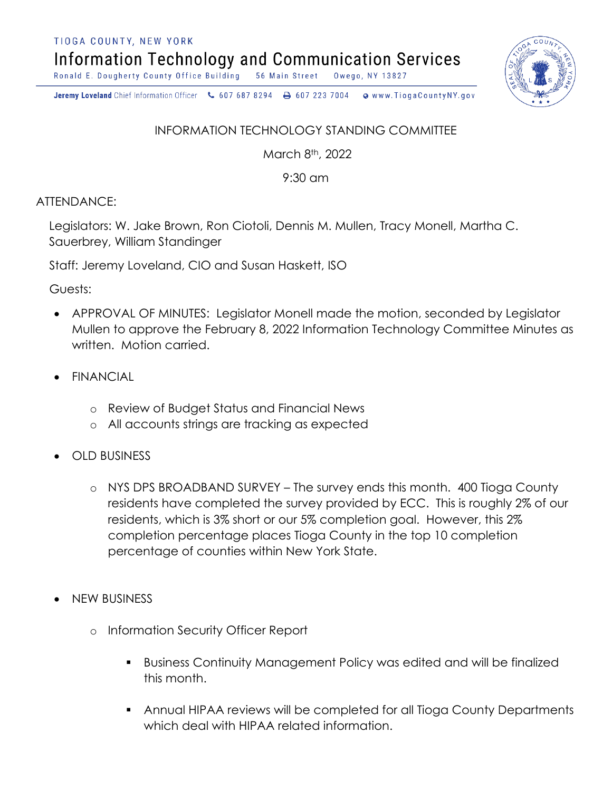TIOGA COUNTY, NEW YORK

**Information Technology and Communication Services** 

Ronald E. Dougherty County Office Building 56 Main Street Owego, NY 13827

Jeremy Loveland Chief Information Officer \607 687 8294 \ + 607 223 7004 o www.TiogaCountyNY.gov

## INFORMATION TECHNOLOGY STANDING COMMITTEE

March 8th, 2022

9:30 am

ATTENDANCE:

Legislators: W. Jake Brown, Ron Ciotoli, Dennis M. Mullen, Tracy Monell, Martha C. Sauerbrey, William Standinger

Staff: Jeremy Loveland, CIO and Susan Haskett, ISO

Guests:

- APPROVAL OF MINUTES: Legislator Monell made the motion, seconded by Legislator Mullen to approve the February 8, 2022 Information Technology Committee Minutes as written. Motion carried.
- FINANCIAL
	- o Review of Budget Status and Financial News
	- o All accounts strings are tracking as expected
- OLD BUSINESS
	- o NYS DPS BROADBAND SURVEY The survey ends this month. 400 Tioga County residents have completed the survey provided by ECC. This is roughly 2% of our residents, which is 3% short or our 5% completion goal. However, this 2% completion percentage places Tioga County in the top 10 completion percentage of counties within New York State.
- NEW BUSINESS
	- o Information Security Officer Report
		- Business Continuity Management Policy was edited and will be finalized this month.
		- Annual HIPAA reviews will be completed for all Tioga County Departments which deal with HIPAA related information.